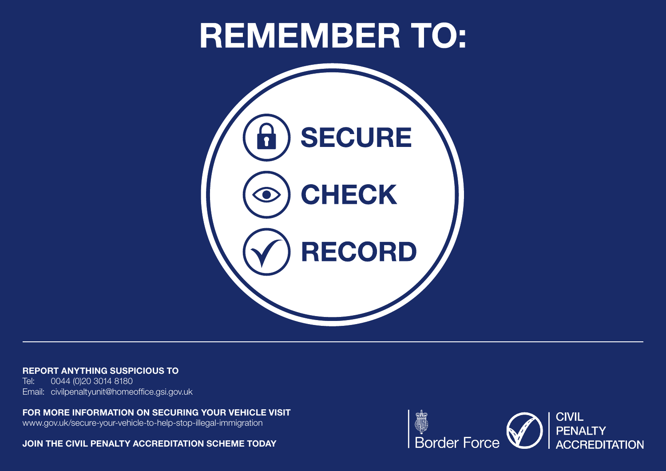# **REMEMBER TO:**



REPORT ANYTHING SUSPICIOUS TO

Tel: 0044 (0)20 3014 8180 Email: civilpenaltyunit@homeoffice.gsi.gov.uk

FOR MORE INFORMATION ON SECURING YOUR VEHICLE VISIT

www.gov.uk/secure-your-vehicle-to-help-stop-illegal-immigration

JOIN THE CIVIL PENALTY ACCREDITATION SCHEME TODAY

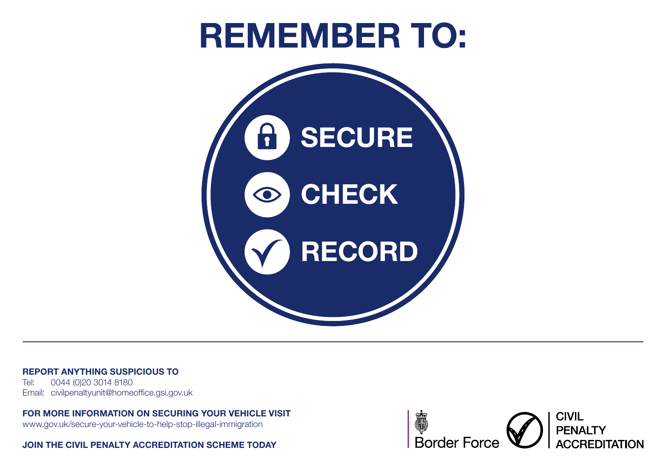# **REMEMBER TO:**



#### REPORT ANYTHING SUSPICIOUS TO

Tel: 0044 (0)20 3014 8180 Email: civilpenaltyunit@homeoffice.gsi.gov.uk

#### FOR MORE INFORMATION ON SECURING YOUR VEHICLE VISIT

www.gov.uk/secure-your-vehicle-to-help-stop-illegal-immigration

JOIN THE CIVIL PENALTY ACCREDITATION SCHEME TODAY